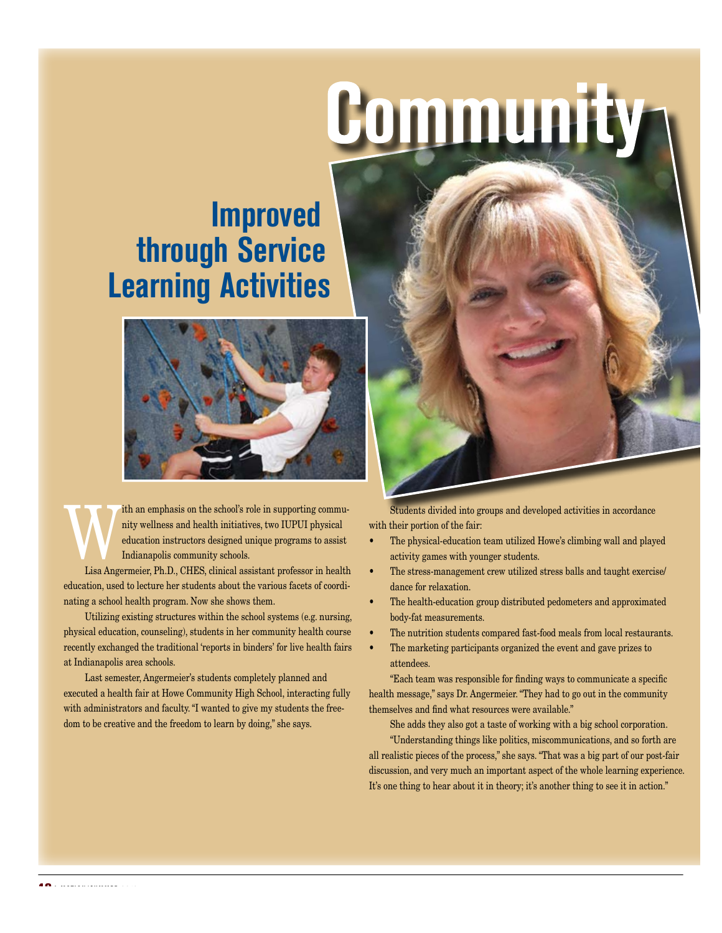## Community

## **Improved through Service Learning Activities**



The and emphasis on the school's role in supporting commu-<br>nity wellness and health initiatives, two IUPUI physical<br>education instructors designed unique programs to assist<br>Indianapolis community schools. nity wellness and health initiatives, two IUPUI physical education instructors designed unique programs to assist Indianapolis community schools.

Lisa Angermeier, Ph.D., CHES, clinical assistant professor in health education, used to lecture her students about the various facets of coordinating a school health program. Now she shows them.

Utilizing existing structures within the school systems (e.g. nursing, physical education, counseling), students in her community health course recently exchanged the traditional 'reports in binders' for live health fairs at Indianapolis area schools.

Last semester, Angermeier's students completely planned and executed a health fair at Howe Community High School, interacting fully with administrators and faculty. "I wanted to give my students the freedom to be creative and the freedom to learn by doing," she says.



Students divided into groups and developed activities in accordance with their portion of the fair:

- The physical-education team utilized Howe's climbing wall and played activity games with younger students.
- The stress-management crew utilized stress balls and taught exercise/ dance for relaxation.
- The health-education group distributed pedometers and approximated body-fat measurements.
- The nutrition students compared fast-food meals from local restaurants.
- The marketing participants organized the event and gave prizes to attendees.

"Each team was responsible for finding ways to communicate a specific health message," says Dr. Angermeier. "They had to go out in the community themselves and find what resources were available."

She adds they also got a taste of working with a big school corporation.

"Understanding things like politics, miscommunications, and so forth are all realistic pieces of the process," she says. "That was a big part of our post-fair discussion, and very much an important aspect of the whole learning experience. It's one thing to hear about it in theory; it's another thing to see it in action."